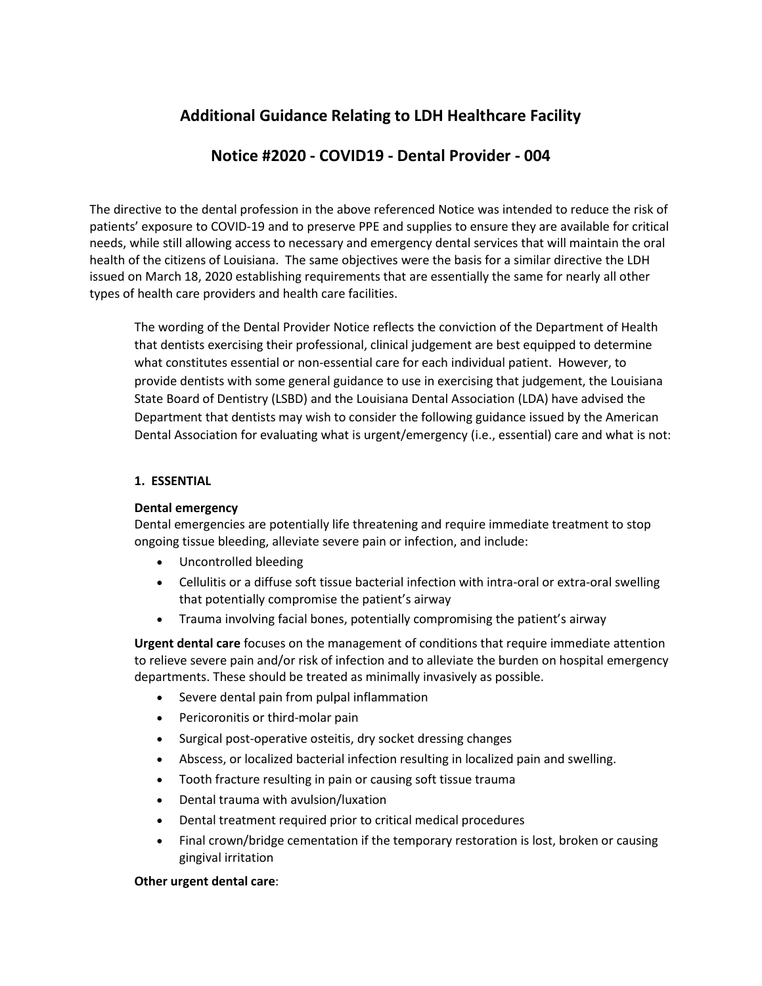# **Additional Guidance Relating to LDH Healthcare Facility**

## **Notice #2020 - COVID19 - Dental Provider - 004**

The directive to the dental profession in the above referenced Notice was intended to reduce the risk of patients' exposure to COVID-19 and to preserve PPE and supplies to ensure they are available for critical needs, while still allowing access to necessary and emergency dental services that will maintain the oral health of the citizens of Louisiana. The same objectives were the basis for a similar directive the LDH issued on March 18, 2020 establishing requirements that are essentially the same for nearly all other types of health care providers and health care facilities.

The wording of the Dental Provider Notice reflects the conviction of the Department of Health that dentists exercising their professional, clinical judgement are best equipped to determine what constitutes essential or non-essential care for each individual patient. However, to provide dentists with some general guidance to use in exercising that judgement, the Louisiana State Board of Dentistry (LSBD) and the Louisiana Dental Association (LDA) have advised the Department that dentists may wish to consider the following guidance issued by the American Dental Association for evaluating what is urgent/emergency (i.e., essential) care and what is not:

### **1. ESSENTIAL**

#### **Dental emergency**

Dental emergencies are potentially life threatening and require immediate treatment to stop ongoing tissue bleeding, alleviate severe pain or infection, and include:

- Uncontrolled bleeding
- Cellulitis or a diffuse soft tissue bacterial infection with intra-oral or extra-oral swelling that potentially compromise the patient's airway
- Trauma involving facial bones, potentially compromising the patient's airway

**Urgent dental care** focuses on the management of conditions that require immediate attention to relieve severe pain and/or risk of infection and to alleviate the burden on hospital emergency departments. These should be treated as minimally invasively as possible.

- Severe dental pain from pulpal inflammation
- Pericoronitis or third-molar pain
- Surgical post-operative osteitis, dry socket dressing changes
- Abscess, or localized bacterial infection resulting in localized pain and swelling.
- Tooth fracture resulting in pain or causing soft tissue trauma
- Dental trauma with avulsion/luxation
- Dental treatment required prior to critical medical procedures
- Final crown/bridge cementation if the temporary restoration is lost, broken or causing gingival irritation

#### **Other urgent dental care**: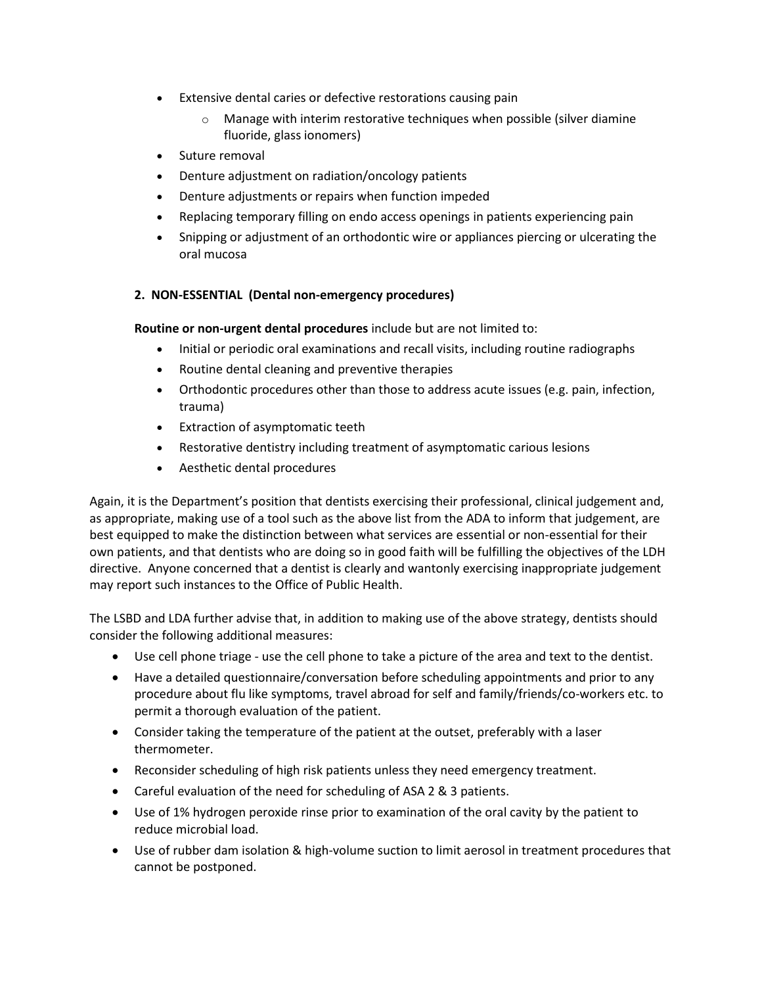- Extensive dental caries or defective restorations causing pain
	- $\circ$  Manage with interim restorative techniques when possible (silver diamine fluoride, glass ionomers)
- Suture removal
- Denture adjustment on radiation/oncology patients
- Denture adjustments or repairs when function impeded
- Replacing temporary filling on endo access openings in patients experiencing pain
- Snipping or adjustment of an orthodontic wire or appliances piercing or ulcerating the oral mucosa

## **2. NON-ESSENTIAL (Dental non-emergency procedures)**

**Routine or non-urgent dental procedures** include but are not limited to:

- Initial or periodic oral examinations and recall visits, including routine radiographs
- Routine dental cleaning and preventive therapies
- Orthodontic procedures other than those to address acute issues (e.g. pain, infection, trauma)
- Extraction of asymptomatic teeth
- Restorative dentistry including treatment of asymptomatic carious lesions
- Aesthetic dental procedures

Again, it is the Department's position that dentists exercising their professional, clinical judgement and, as appropriate, making use of a tool such as the above list from the ADA to inform that judgement, are best equipped to make the distinction between what services are essential or non-essential for their own patients, and that dentists who are doing so in good faith will be fulfilling the objectives of the LDH directive. Anyone concerned that a dentist is clearly and wantonly exercising inappropriate judgement may report such instances to the Office of Public Health.

The LSBD and LDA further advise that, in addition to making use of the above strategy, dentists should consider the following additional measures:

- Use cell phone triage use the cell phone to take a picture of the area and text to the dentist.
- Have a detailed questionnaire/conversation before scheduling appointments and prior to any procedure about flu like symptoms, travel abroad for self and family/friends/co-workers etc. to permit a thorough evaluation of the patient.
- Consider taking the temperature of the patient at the outset, preferably with a laser thermometer.
- Reconsider scheduling of high risk patients unless they need emergency treatment.
- Careful evaluation of the need for scheduling of ASA 2 & 3 patients.
- Use of 1% hydrogen peroxide rinse prior to examination of the oral cavity by the patient to reduce microbial load.
- Use of rubber dam isolation & high-volume suction to limit aerosol in treatment procedures that cannot be postponed.